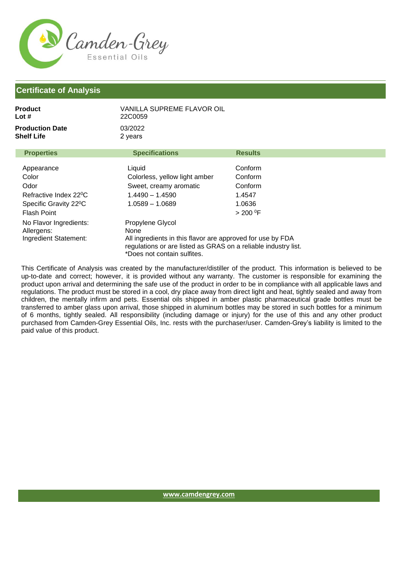

## **Certificate of Analysis**

| Product<br>Lot #                                                                                                       | VANILLA SUPREME FLAVOR OIL<br>22C0059                                                                                                                                                   |                                                               |  |
|------------------------------------------------------------------------------------------------------------------------|-----------------------------------------------------------------------------------------------------------------------------------------------------------------------------------------|---------------------------------------------------------------|--|
| <b>Production Date</b><br>Shelf Life                                                                                   | 03/2022<br>2 years                                                                                                                                                                      |                                                               |  |
| <b>Properties</b>                                                                                                      | <b>Specifications</b>                                                                                                                                                                   | <b>Results</b>                                                |  |
| Appearance<br>Color<br>Odor<br>Refractive Index 22 <sup>o</sup> C<br>Specific Gravity 22 <sup>o</sup> C<br>Flash Point | Liquid<br>Colorless, yellow light amber<br>Sweet, creamy aromatic<br>$1.4490 - 1.4590$<br>1.0589 - 1.0689                                                                               | Conform<br>Conform<br>Conform<br>1.4547<br>1.0636<br>> 200 °F |  |
| No Flavor Ingredients:<br>Allergens:<br>Ingredient Statement:                                                          | Propylene Glycol<br>None<br>All ingredients in this flavor are approved for use by FDA<br>regulations or are listed as GRAS on a reliable industry list.<br>*Does not contain sulfites. |                                                               |  |

This Certificate of Analysis was created by the manufacturer/distiller of the product. This information is believed to be up-to-date and correct; however, it is provided without any warranty. The customer is responsible for examining the product upon arrival and determining the safe use of the product in order to be in compliance with all applicable laws and regulations. The product must be stored in a cool, dry place away from direct light and heat, tightly sealed and away from children, the mentally infirm and pets. Essential oils shipped in amber plastic pharmaceutical grade bottles must be transferred to amber glass upon arrival, those shipped in aluminum bottles may be stored in such bottles for a minimum of 6 months, tightly sealed. All responsibility (including damage or injury) for the use of this and any other product purchased from Camden-Grey Essential Oils, Inc. rests with the purchaser/user. Camden-Grey's liability is limited to the paid value of this product.